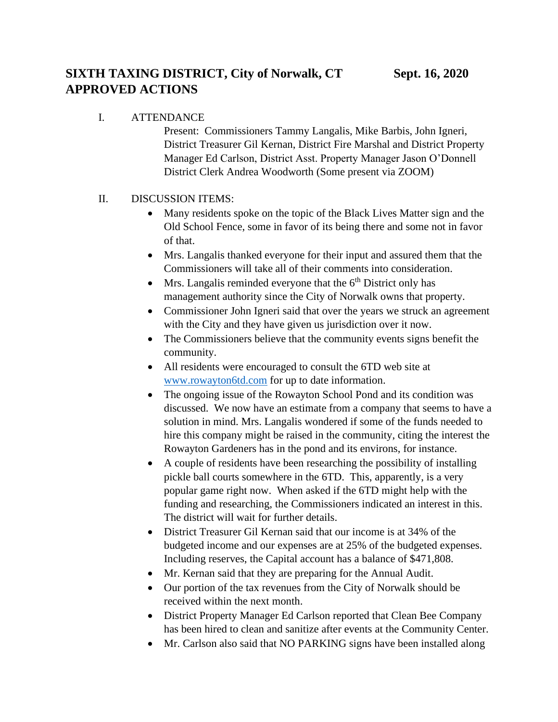I. ATTENDANCE

Present: Commissioners Tammy Langalis, Mike Barbis, John Igneri, District Treasurer Gil Kernan, District Fire Marshal and District Property Manager Ed Carlson, District Asst. Property Manager Jason O'Donnell District Clerk Andrea Woodworth (Some present via ZOOM)

## II. DISCUSSION ITEMS:

- Many residents spoke on the topic of the Black Lives Matter sign and the Old School Fence, some in favor of its being there and some not in favor of that.
- Mrs. Langalis thanked everyone for their input and assured them that the Commissioners will take all of their comments into consideration.
- Mrs. Langalis reminded everyone that the  $6<sup>th</sup>$  District only has management authority since the City of Norwalk owns that property.
- Commissioner John Igneri said that over the years we struck an agreement with the City and they have given us jurisdiction over it now.
- The Commissioners believe that the community events signs benefit the community.
- All residents were encouraged to consult the 6TD web site at [www.rowayton6td.com](http://www.rowayton6td.com/) for up to date information.
- The ongoing issue of the Rowayton School Pond and its condition was discussed. We now have an estimate from a company that seems to have a solution in mind. Mrs. Langalis wondered if some of the funds needed to hire this company might be raised in the community, citing the interest the Rowayton Gardeners has in the pond and its environs, for instance.
- A couple of residents have been researching the possibility of installing pickle ball courts somewhere in the 6TD. This, apparently, is a very popular game right now. When asked if the 6TD might help with the funding and researching, the Commissioners indicated an interest in this. The district will wait for further details.
- District Treasurer Gil Kernan said that our income is at 34% of the budgeted income and our expenses are at 25% of the budgeted expenses. Including reserves, the Capital account has a balance of \$471,808.
- Mr. Kernan said that they are preparing for the Annual Audit.
- Our portion of the tax revenues from the City of Norwalk should be received within the next month.
- District Property Manager Ed Carlson reported that Clean Bee Company has been hired to clean and sanitize after events at the Community Center.
- Mr. Carlson also said that NO PARKING signs have been installed along